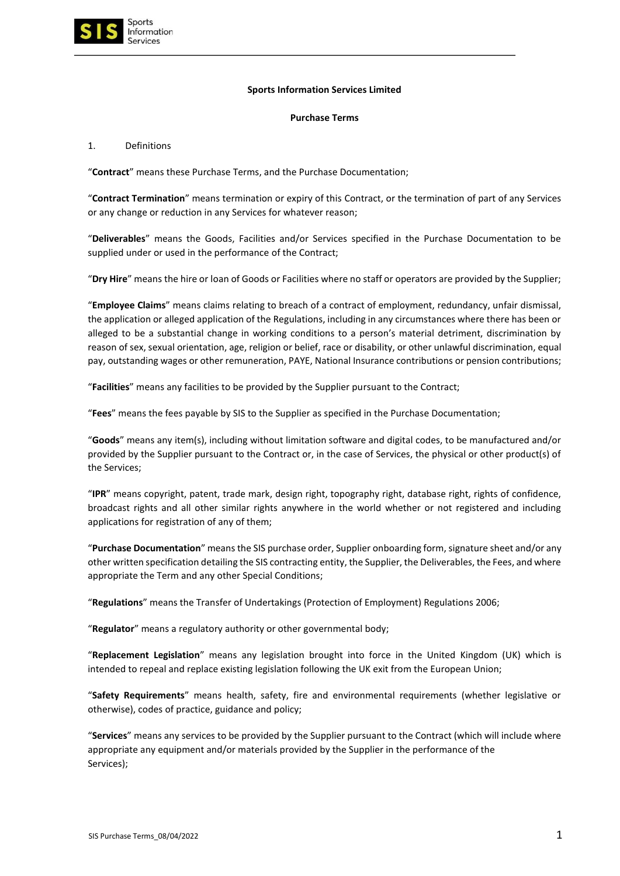

## **Sports Information Services Limited**

## **Purchase Terms**

## 1. Definitions

"**Contract**" means these Purchase Terms, and the Purchase Documentation;

"**Contract Termination**" means termination or expiry of this Contract, or the termination of part of any Services or any change or reduction in any Services for whatever reason;

"**Deliverables**" means the Goods, Facilities and/or Services specified in the Purchase Documentation to be supplied under or used in the performance of the Contract;

"**Dry Hire**" means the hire or loan of Goods or Facilities where no staff or operators are provided by the Supplier;

"**Employee Claims**" means claims relating to breach of a contract of employment, redundancy, unfair dismissal, the application or alleged application of the Regulations, including in any circumstances where there has been or alleged to be a substantial change in working conditions to a person's material detriment, discrimination by reason of sex, sexual orientation, age, religion or belief, race or disability, or other unlawful discrimination, equal pay, outstanding wages or other remuneration, PAYE, National Insurance contributions or pension contributions;

"**Facilities**" means any facilities to be provided by the Supplier pursuant to the Contract;

"**Fees**" means the fees payable by SIS to the Supplier as specified in the Purchase Documentation;

"**Goods**" means any item(s), including without limitation software and digital codes, to be manufactured and/or provided by the Supplier pursuant to the Contract or, in the case of Services, the physical or other product(s) of the Services;

"**IPR**" means copyright, patent, trade mark, design right, topography right, database right, rights of confidence, broadcast rights and all other similar rights anywhere in the world whether or not registered and including applications for registration of any of them;

"**Purchase Documentation**" means the SIS purchase order, Supplier onboarding form, signature sheet and/or any other written specification detailing the SIS contracting entity, the Supplier, the Deliverables, the Fees, and where appropriate the Term and any other Special Conditions;

"**Regulations**" means the Transfer of Undertakings (Protection of Employment) Regulations 2006;

"**Regulator**" means a regulatory authority or other governmental body;

"**Replacement Legislation**" means any legislation brought into force in the United Kingdom (UK) which is intended to repeal and replace existing legislation following the UK exit from the European Union;

"**Safety Requirements**" means health, safety, fire and environmental requirements (whether legislative or otherwise), codes of practice, guidance and policy;

"**Services**" means any services to be provided by the Supplier pursuant to the Contract (which will include where appropriate any equipment and/or materials provided by the Supplier in the performance of the Services);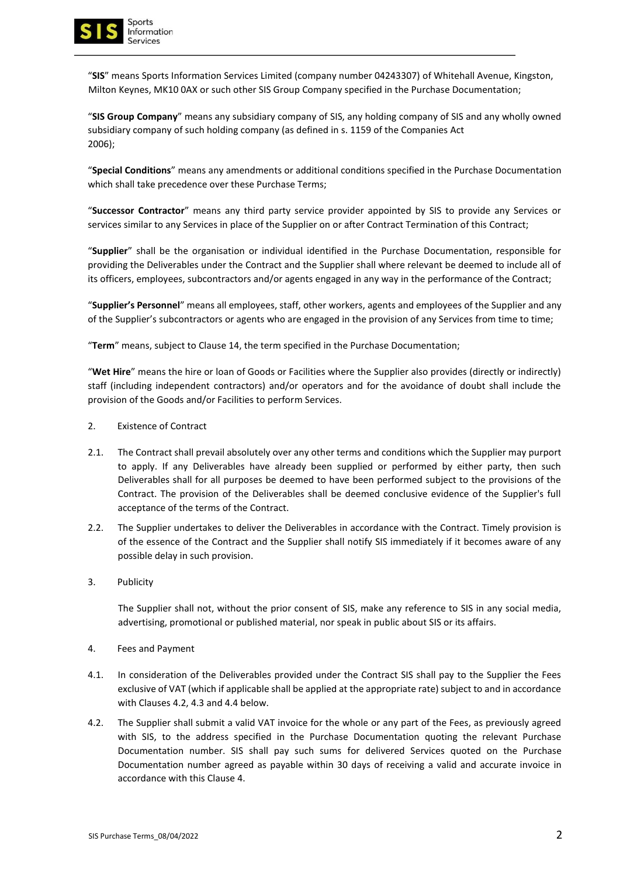

"**SIS**" means Sports Information Services Limited (company number 04243307) of Whitehall Avenue, Kingston, Milton Keynes, MK10 0AX or such other SIS Group Company specified in the Purchase Documentation;

"**SIS Group Company**" means any subsidiary company of SIS, any holding company of SIS and any wholly owned subsidiary company of such holding company (as defined in s. 1159 of the Companies Act 2006);

"**Special Conditions**" means any amendments or additional conditions specified in the Purchase Documentation which shall take precedence over these Purchase Terms;

"**Successor Contractor**" means any third party service provider appointed by SIS to provide any Services or services similar to any Services in place of the Supplier on or after Contract Termination of this Contract;

"**Supplier**" shall be the organisation or individual identified in the Purchase Documentation, responsible for providing the Deliverables under the Contract and the Supplier shall where relevant be deemed to include all of its officers, employees, subcontractors and/or agents engaged in any way in the performance of the Contract;

"**Supplier's Personnel**" means all employees, staff, other workers, agents and employees of the Supplier and any of the Supplier's subcontractors or agents who are engaged in the provision of any Services from time to time;

"**Term**" means, subject to Clause 14, the term specified in the Purchase Documentation;

"**Wet Hire**" means the hire or loan of Goods or Facilities where the Supplier also provides (directly or indirectly) staff (including independent contractors) and/or operators and for the avoidance of doubt shall include the provision of the Goods and/or Facilities to perform Services.

- 2. Existence of Contract
- 2.1. The Contract shall prevail absolutely over any other terms and conditions which the Supplier may purport to apply. If any Deliverables have already been supplied or performed by either party, then such Deliverables shall for all purposes be deemed to have been performed subject to the provisions of the Contract. The provision of the Deliverables shall be deemed conclusive evidence of the Supplier's full acceptance of the terms of the Contract.
- 2.2. The Supplier undertakes to deliver the Deliverables in accordance with the Contract. Timely provision is of the essence of the Contract and the Supplier shall notify SIS immediately if it becomes aware of any possible delay in such provision.
- 3. Publicity

The Supplier shall not, without the prior consent of SIS, make any reference to SIS in any social media, advertising, promotional or published material, nor speak in public about SIS or its affairs.

- 4. Fees and Payment
- 4.1. In consideration of the Deliverables provided under the Contract SIS shall pay to the Supplier the Fees exclusive of VAT (which if applicable shall be applied at the appropriate rate) subject to and in accordance with Clauses 4.2, 4.3 and 4.4 below.
- 4.2. The Supplier shall submit a valid VAT invoice for the whole or any part of the Fees, as previously agreed with SIS, to the address specified in the Purchase Documentation quoting the relevant Purchase Documentation number. SIS shall pay such sums for delivered Services quoted on the Purchase Documentation number agreed as payable within 30 days of receiving a valid and accurate invoice in accordance with this Clause 4.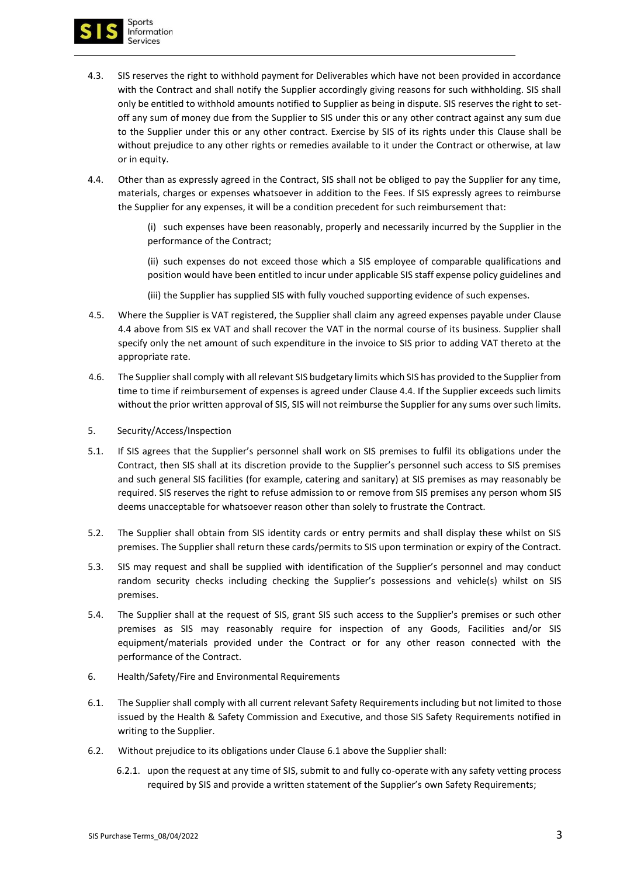

- 4.3. SIS reserves the right to withhold payment for Deliverables which have not been provided in accordance with the Contract and shall notify the Supplier accordingly giving reasons for such withholding. SIS shall only be entitled to withhold amounts notified to Supplier as being in dispute. SIS reserves the right to setoff any sum of money due from the Supplier to SIS under this or any other contract against any sum due to the Supplier under this or any other contract. Exercise by SIS of its rights under this Clause shall be without prejudice to any other rights or remedies available to it under the Contract or otherwise, at law or in equity.
- 4.4. Other than as expressly agreed in the Contract, SIS shall not be obliged to pay the Supplier for any time, materials, charges or expenses whatsoever in addition to the Fees. If SIS expressly agrees to reimburse the Supplier for any expenses, it will be a condition precedent for such reimbursement that:

(i) such expenses have been reasonably, properly and necessarily incurred by the Supplier in the performance of the Contract;

(ii) such expenses do not exceed those which a SIS employee of comparable qualifications and position would have been entitled to incur under applicable SIS staff expense policy guidelines and

(iii) the Supplier has supplied SIS with fully vouched supporting evidence of such expenses.

- 4.5. Where the Supplier is VAT registered, the Supplier shall claim any agreed expenses payable under Clause 4.4 above from SIS ex VAT and shall recover the VAT in the normal course of its business. Supplier shall specify only the net amount of such expenditure in the invoice to SIS prior to adding VAT thereto at the appropriate rate.
- 4.6. The Supplier shall comply with all relevant SIS budgetary limits which SIS has provided to the Supplier from time to time if reimbursement of expenses is agreed under Clause 4.4. If the Supplier exceeds such limits without the prior written approval of SIS, SIS will not reimburse the Supplier for any sums over such limits.
- 5. Security/Access/Inspection
- 5.1. If SIS agrees that the Supplier's personnel shall work on SIS premises to fulfil its obligations under the Contract, then SIS shall at its discretion provide to the Supplier's personnel such access to SIS premises and such general SIS facilities (for example, catering and sanitary) at SIS premises as may reasonably be required. SIS reserves the right to refuse admission to or remove from SIS premises any person whom SIS deems unacceptable for whatsoever reason other than solely to frustrate the Contract.
- 5.2. The Supplier shall obtain from SIS identity cards or entry permits and shall display these whilst on SIS premises. The Supplier shall return these cards/permits to SIS upon termination or expiry of the Contract.
- 5.3. SIS may request and shall be supplied with identification of the Supplier's personnel and may conduct random security checks including checking the Supplier's possessions and vehicle(s) whilst on SIS premises.
- 5.4. The Supplier shall at the request of SIS, grant SIS such access to the Supplier's premises or such other premises as SIS may reasonably require for inspection of any Goods, Facilities and/or SIS equipment/materials provided under the Contract or for any other reason connected with the performance of the Contract.
- 6. Health/Safety/Fire and Environmental Requirements
- 6.1. The Supplier shall comply with all current relevant Safety Requirements including but not limited to those issued by the Health & Safety Commission and Executive, and those SIS Safety Requirements notified in writing to the Supplier.
- 6.2. Without prejudice to its obligations under Clause 6.1 above the Supplier shall:
	- 6.2.1. upon the request at any time of SIS, submit to and fully co-operate with any safety vetting process required by SIS and provide a written statement of the Supplier's own Safety Requirements;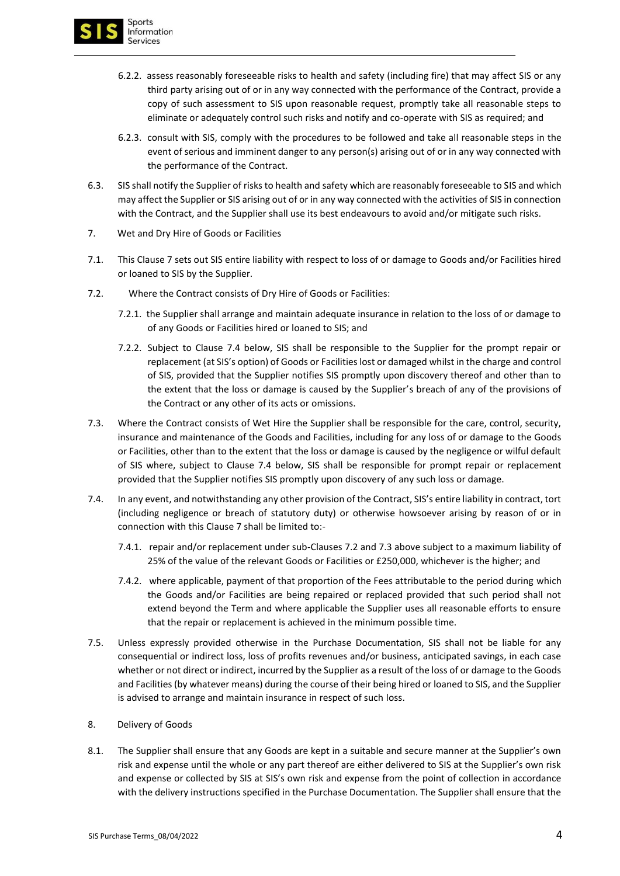

- 6.2.2. assess reasonably foreseeable risks to health and safety (including fire) that may affect SIS or any third party arising out of or in any way connected with the performance of the Contract, provide a copy of such assessment to SIS upon reasonable request, promptly take all reasonable steps to eliminate or adequately control such risks and notify and co-operate with SIS as required; and
- 6.2.3. consult with SIS, comply with the procedures to be followed and take all reasonable steps in the event of serious and imminent danger to any person(s) arising out of or in any way connected with the performance of the Contract.
- 6.3. SIS shall notify the Supplier of risks to health and safety which are reasonably foreseeable to SIS and which may affect the Supplier or SIS arising out of or in any way connected with the activities of SIS in connection with the Contract, and the Supplier shall use its best endeavours to avoid and/or mitigate such risks.
- 7. Wet and Dry Hire of Goods or Facilities
- 7.1. This Clause 7 sets out SIS entire liability with respect to loss of or damage to Goods and/or Facilities hired or loaned to SIS by the Supplier.
- 7.2. Where the Contract consists of Dry Hire of Goods or Facilities:
	- 7.2.1. the Supplier shall arrange and maintain adequate insurance in relation to the loss of or damage to of any Goods or Facilities hired or loaned to SIS; and
	- 7.2.2. Subject to Clause 7.4 below, SIS shall be responsible to the Supplier for the prompt repair or replacement (at SIS's option) of Goods or Facilities lost or damaged whilst in the charge and control of SIS, provided that the Supplier notifies SIS promptly upon discovery thereof and other than to the extent that the loss or damage is caused by the Supplier's breach of any of the provisions of the Contract or any other of its acts or omissions.
- 7.3. Where the Contract consists of Wet Hire the Supplier shall be responsible for the care, control, security, insurance and maintenance of the Goods and Facilities, including for any loss of or damage to the Goods or Facilities, other than to the extent that the loss or damage is caused by the negligence or wilful default of SIS where, subject to Clause 7.4 below, SIS shall be responsible for prompt repair or replacement provided that the Supplier notifies SIS promptly upon discovery of any such loss or damage.
- 7.4. In any event, and notwithstanding any other provision of the Contract, SIS's entire liability in contract, tort (including negligence or breach of statutory duty) or otherwise howsoever arising by reason of or in connection with this Clause 7 shall be limited to:-
	- 7.4.1. repair and/or replacement under sub-Clauses 7.2 and 7.3 above subject to a maximum liability of 25% of the value of the relevant Goods or Facilities or £250,000, whichever is the higher; and
	- 7.4.2. where applicable, payment of that proportion of the Fees attributable to the period during which the Goods and/or Facilities are being repaired or replaced provided that such period shall not extend beyond the Term and where applicable the Supplier uses all reasonable efforts to ensure that the repair or replacement is achieved in the minimum possible time.
- 7.5. Unless expressly provided otherwise in the Purchase Documentation, SIS shall not be liable for any consequential or indirect loss, loss of profits revenues and/or business, anticipated savings, in each case whether or not direct or indirect, incurred by the Supplier as a result of the loss of or damage to the Goods and Facilities (by whatever means) during the course of their being hired or loaned to SIS, and the Supplier is advised to arrange and maintain insurance in respect of such loss.
- 8. Delivery of Goods
- 8.1. The Supplier shall ensure that any Goods are kept in a suitable and secure manner at the Supplier's own risk and expense until the whole or any part thereof are either delivered to SIS at the Supplier's own risk and expense or collected by SIS at SIS's own risk and expense from the point of collection in accordance with the delivery instructions specified in the Purchase Documentation. The Supplier shall ensure that the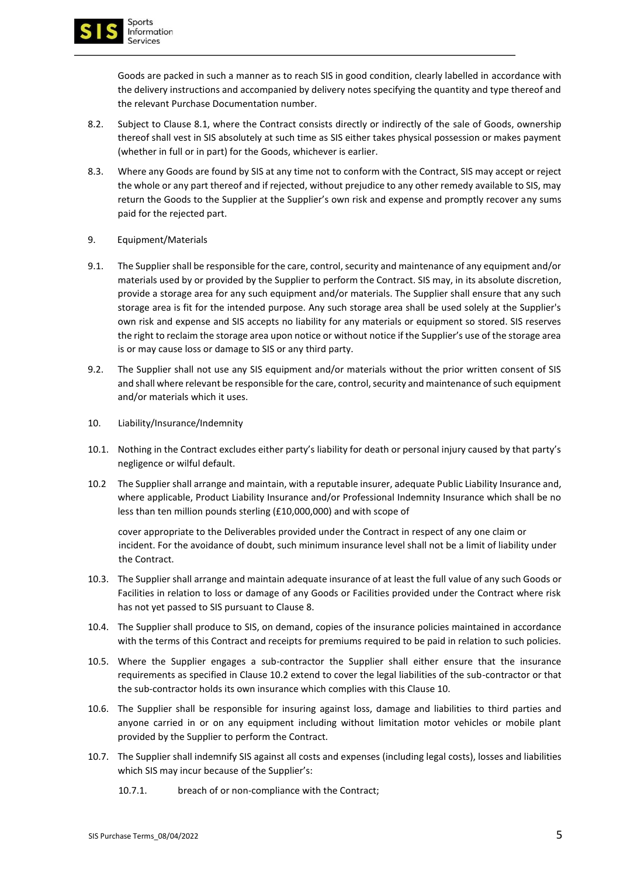

Goods are packed in such a manner as to reach SIS in good condition, clearly labelled in accordance with the delivery instructions and accompanied by delivery notes specifying the quantity and type thereof and the relevant Purchase Documentation number.

- 8.2. Subject to Clause 8.1, where the Contract consists directly or indirectly of the sale of Goods, ownership thereof shall vest in SIS absolutely at such time as SIS either takes physical possession or makes payment (whether in full or in part) for the Goods, whichever is earlier.
- 8.3. Where any Goods are found by SIS at any time not to conform with the Contract, SIS may accept or reject the whole or any part thereof and if rejected, without prejudice to any other remedy available to SIS, may return the Goods to the Supplier at the Supplier's own risk and expense and promptly recover any sums paid for the rejected part.
- 9. Equipment/Materials
- 9.1. The Supplier shall be responsible for the care, control, security and maintenance of any equipment and/or materials used by or provided by the Supplier to perform the Contract. SIS may, in its absolute discretion, provide a storage area for any such equipment and/or materials. The Supplier shall ensure that any such storage area is fit for the intended purpose. Any such storage area shall be used solely at the Supplier's own risk and expense and SIS accepts no liability for any materials or equipment so stored. SIS reserves the right to reclaim the storage area upon notice or without notice if the Supplier's use of the storage area is or may cause loss or damage to SIS or any third party.
- 9.2. The Supplier shall not use any SIS equipment and/or materials without the prior written consent of SIS and shall where relevant be responsible for the care, control, security and maintenance of such equipment and/or materials which it uses.
- 10. Liability/Insurance/Indemnity
- 10.1. Nothing in the Contract excludes either party's liability for death or personal injury caused by that party's negligence or wilful default.
- 10.2 The Supplier shall arrange and maintain, with a reputable insurer, adequate Public Liability Insurance and, where applicable, Product Liability Insurance and/or Professional Indemnity Insurance which shall be no less than ten million pounds sterling (£10,000,000) and with scope of

cover appropriate to the Deliverables provided under the Contract in respect of any one claim or incident. For the avoidance of doubt, such minimum insurance level shall not be a limit of liability under the Contract.

- 10.3. The Supplier shall arrange and maintain adequate insurance of at least the full value of any such Goods or Facilities in relation to loss or damage of any Goods or Facilities provided under the Contract where risk has not yet passed to SIS pursuant to Clause 8.
- 10.4. The Supplier shall produce to SIS, on demand, copies of the insurance policies maintained in accordance with the terms of this Contract and receipts for premiums required to be paid in relation to such policies.
- 10.5. Where the Supplier engages a sub-contractor the Supplier shall either ensure that the insurance requirements as specified in Clause 10.2 extend to cover the legal liabilities of the sub-contractor or that the sub-contractor holds its own insurance which complies with this Clause 10.
- 10.6. The Supplier shall be responsible for insuring against loss, damage and liabilities to third parties and anyone carried in or on any equipment including without limitation motor vehicles or mobile plant provided by the Supplier to perform the Contract.
- 10.7. The Supplier shall indemnify SIS against all costs and expenses (including legal costs), losses and liabilities which SIS may incur because of the Supplier's:
	- 10.7.1. breach of or non-compliance with the Contract;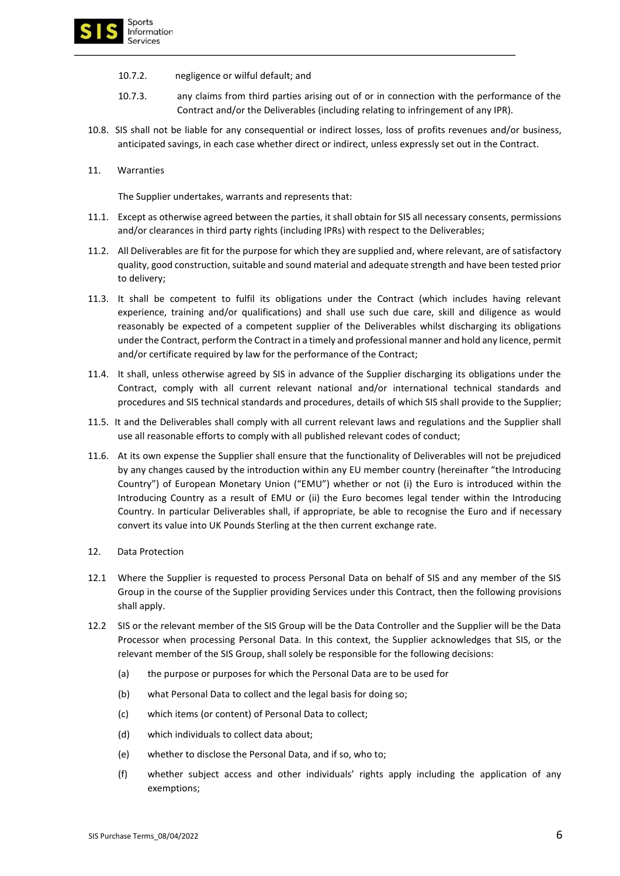

- 10.7.2. negligence or wilful default; and
- 10.7.3. any claims from third parties arising out of or in connection with the performance of the Contract and/or the Deliverables (including relating to infringement of any IPR).
- 10.8. SIS shall not be liable for any consequential or indirect losses, loss of profits revenues and/or business, anticipated savings, in each case whether direct or indirect, unless expressly set out in the Contract.
- 11. Warranties

The Supplier undertakes, warrants and represents that:

- 11.1. Except as otherwise agreed between the parties, it shall obtain for SIS all necessary consents, permissions and/or clearances in third party rights (including IPRs) with respect to the Deliverables;
- 11.2. All Deliverables are fit for the purpose for which they are supplied and, where relevant, are of satisfactory quality, good construction, suitable and sound material and adequate strength and have been tested prior to delivery;
- 11.3. It shall be competent to fulfil its obligations under the Contract (which includes having relevant experience, training and/or qualifications) and shall use such due care, skill and diligence as would reasonably be expected of a competent supplier of the Deliverables whilst discharging its obligations under the Contract, perform the Contract in a timely and professional manner and hold any licence, permit and/or certificate required by law for the performance of the Contract;
- 11.4. It shall, unless otherwise agreed by SIS in advance of the Supplier discharging its obligations under the Contract, comply with all current relevant national and/or international technical standards and procedures and SIS technical standards and procedures, details of which SIS shall provide to the Supplier;
- 11.5. It and the Deliverables shall comply with all current relevant laws and regulations and the Supplier shall use all reasonable efforts to comply with all published relevant codes of conduct;
- 11.6. At its own expense the Supplier shall ensure that the functionality of Deliverables will not be prejudiced by any changes caused by the introduction within any EU member country (hereinafter "the Introducing Country") of European Monetary Union ("EMU") whether or not (i) the Euro is introduced within the Introducing Country as a result of EMU or (ii) the Euro becomes legal tender within the Introducing Country. In particular Deliverables shall, if appropriate, be able to recognise the Euro and if necessary convert its value into UK Pounds Sterling at the then current exchange rate.
- 12. Data Protection
- 12.1 Where the Supplier is requested to process Personal Data on behalf of SIS and any member of the SIS Group in the course of the Supplier providing Services under this Contract, then the following provisions shall apply.
- 12.2 SIS or the relevant member of the SIS Group will be the Data Controller and the Supplier will be the Data Processor when processing Personal Data. In this context, the Supplier acknowledges that SIS, or the relevant member of the SIS Group, shall solely be responsible for the following decisions:
	- (a) the purpose or purposes for which the Personal Data are to be used for
	- (b) what Personal Data to collect and the legal basis for doing so;
	- (c) which items (or content) of Personal Data to collect;
	- (d) which individuals to collect data about;
	- (e) whether to disclose the Personal Data, and if so, who to;
	- (f) whether subject access and other individuals' rights apply including the application of any exemptions;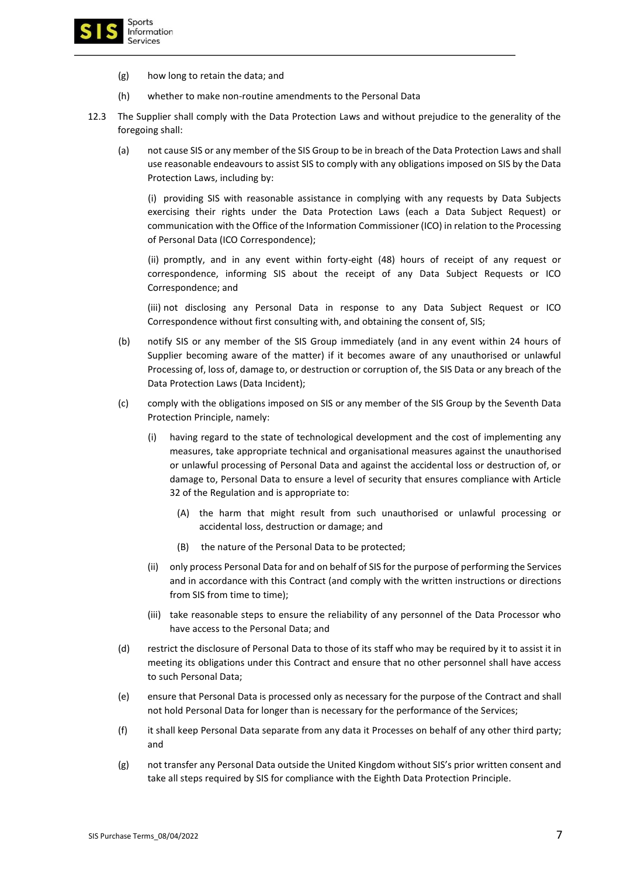

- (g) how long to retain the data; and
- (h) whether to make non-routine amendments to the Personal Data
- 12.3 The Supplier shall comply with the Data Protection Laws and without prejudice to the generality of the foregoing shall:
	- (a) not cause SIS or any member of the SIS Group to be in breach of the Data Protection Laws and shall use reasonable endeavours to assist SIS to comply with any obligations imposed on SIS by the Data Protection Laws, including by:

(i) providing SIS with reasonable assistance in complying with any requests by Data Subjects exercising their rights under the Data Protection Laws (each a Data Subject Request) or communication with the Office of the Information Commissioner (ICO) in relation to the Processing of Personal Data (ICO Correspondence);

(ii) promptly, and in any event within forty-eight (48) hours of receipt of any request or correspondence, informing SIS about the receipt of any Data Subject Requests or ICO Correspondence; and

(iii) not disclosing any Personal Data in response to any Data Subject Request or ICO Correspondence without first consulting with, and obtaining the consent of, SIS;

- (b) notify SIS or any member of the SIS Group immediately (and in any event within 24 hours of Supplier becoming aware of the matter) if it becomes aware of any unauthorised or unlawful Processing of, loss of, damage to, or destruction or corruption of, the SIS Data or any breach of the Data Protection Laws (Data Incident);
- (c) comply with the obligations imposed on SIS or any member of the SIS Group by the Seventh Data Protection Principle, namely:
	- (i) having regard to the state of technological development and the cost of implementing any measures, take appropriate technical and organisational measures against the unauthorised or unlawful processing of Personal Data and against the accidental loss or destruction of, or damage to, Personal Data to ensure a level of security that ensures compliance with Article 32 of the Regulation and is appropriate to:
		- (A) the harm that might result from such unauthorised or unlawful processing or accidental loss, destruction or damage; and
		- (B) the nature of the Personal Data to be protected;
	- (ii) only process Personal Data for and on behalf of SIS for the purpose of performing the Services and in accordance with this Contract (and comply with the written instructions or directions from SIS from time to time);
	- (iii) take reasonable steps to ensure the reliability of any personnel of the Data Processor who have access to the Personal Data; and
- (d) restrict the disclosure of Personal Data to those of its staff who may be required by it to assist it in meeting its obligations under this Contract and ensure that no other personnel shall have access to such Personal Data;
- (e) ensure that Personal Data is processed only as necessary for the purpose of the Contract and shall not hold Personal Data for longer than is necessary for the performance of the Services;
- (f) it shall keep Personal Data separate from any data it Processes on behalf of any other third party; and
- (g) not transfer any Personal Data outside the United Kingdom without SIS's prior written consent and take all steps required by SIS for compliance with the Eighth Data Protection Principle.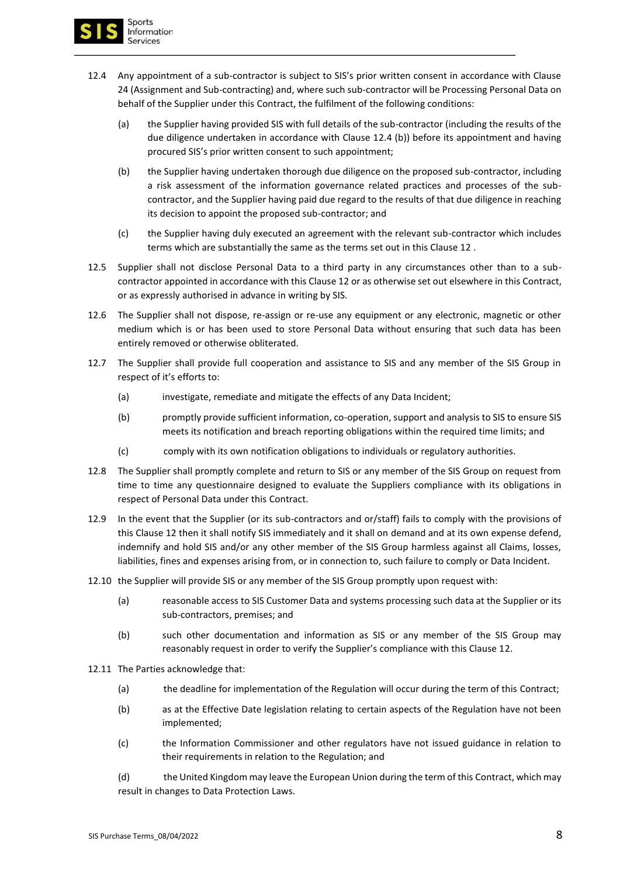

- 12.4 Any appointment of a sub-contractor is subject to SIS's prior written consent in accordance with Clause 24 (Assignment and Sub-contracting) and, where such sub-contractor will be Processing Personal Data on behalf of the Supplier under this Contract, the fulfilment of the following conditions:
	- (a) the Supplier having provided SIS with full details of the sub-contractor (including the results of the due diligence undertaken in accordance with Clause 12.4 (b)) before its appointment and having procured SIS's prior written consent to such appointment;
	- (b) the Supplier having undertaken thorough due diligence on the proposed sub-contractor, including a risk assessment of the information governance related practices and processes of the subcontractor, and the Supplier having paid due regard to the results of that due diligence in reaching its decision to appoint the proposed sub-contractor; and
	- (c) the Supplier having duly executed an agreement with the relevant sub-contractor which includes terms which are substantially the same as the terms set out in this Clause 12 .
- 12.5 Supplier shall not disclose Personal Data to a third party in any circumstances other than to a subcontractor appointed in accordance with this Clause 12 or as otherwise set out elsewhere in this Contract, or as expressly authorised in advance in writing by SIS.
- 12.6 The Supplier shall not dispose, re-assign or re-use any equipment or any electronic, magnetic or other medium which is or has been used to store Personal Data without ensuring that such data has been entirely removed or otherwise obliterated.
- 12.7 The Supplier shall provide full cooperation and assistance to SIS and any member of the SIS Group in respect of it's efforts to:
	- (a) investigate, remediate and mitigate the effects of any Data Incident;
	- (b) promptly provide sufficient information, co-operation, support and analysis to SIS to ensure SIS meets its notification and breach reporting obligations within the required time limits; and
	- (c) comply with its own notification obligations to individuals or regulatory authorities.
- 12.8 The Supplier shall promptly complete and return to SIS or any member of the SIS Group on request from time to time any questionnaire designed to evaluate the Suppliers compliance with its obligations in respect of Personal Data under this Contract.
- 12.9 In the event that the Supplier (or its sub-contractors and or/staff) fails to comply with the provisions of this Clause 12 then it shall notify SIS immediately and it shall on demand and at its own expense defend, indemnify and hold SIS and/or any other member of the SIS Group harmless against all Claims, losses, liabilities, fines and expenses arising from, or in connection to, such failure to comply or Data Incident.
- 12.10 the Supplier will provide SIS or any member of the SIS Group promptly upon request with:
	- (a) reasonable access to SIS Customer Data and systems processing such data at the Supplier or its sub-contractors, premises; and
	- (b) such other documentation and information as SIS or any member of the SIS Group may reasonably request in order to verify the Supplier's compliance with this Clause 12.
- 12.11 The Parties acknowledge that:
	- (a) the deadline for implementation of the Regulation will occur during the term of this Contract;
	- (b) as at the Effective Date legislation relating to certain aspects of the Regulation have not been implemented;
	- (c) the Information Commissioner and other regulators have not issued guidance in relation to their requirements in relation to the Regulation; and

(d) the United Kingdom may leave the European Union during the term of this Contract, which may result in changes to Data Protection Laws.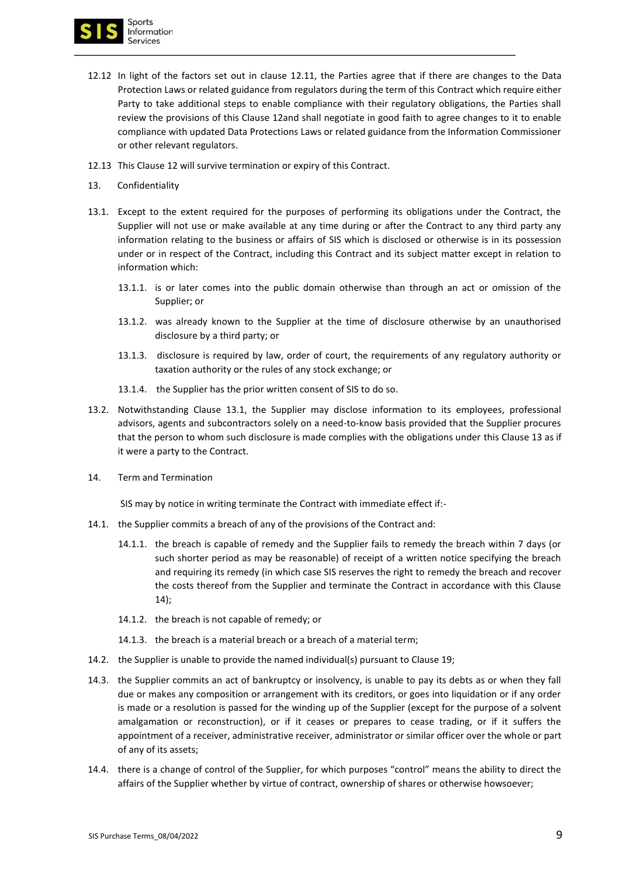

- 12.12 In light of the factors set out in clause 12.11, the Parties agree that if there are changes to the Data Protection Laws or related guidance from regulators during the term of this Contract which require either Party to take additional steps to enable compliance with their regulatory obligations, the Parties shall review the provisions of this Clause 12and shall negotiate in good faith to agree changes to it to enable compliance with updated Data Protections Laws or related guidance from the Information Commissioner or other relevant regulators.
- 12.13 This Clause 12 will survive termination or expiry of this Contract.
- 13. Confidentiality
- 13.1. Except to the extent required for the purposes of performing its obligations under the Contract, the Supplier will not use or make available at any time during or after the Contract to any third party any information relating to the business or affairs of SIS which is disclosed or otherwise is in its possession under or in respect of the Contract, including this Contract and its subject matter except in relation to information which:
	- 13.1.1. is or later comes into the public domain otherwise than through an act or omission of the Supplier; or
	- 13.1.2. was already known to the Supplier at the time of disclosure otherwise by an unauthorised disclosure by a third party; or
	- 13.1.3. disclosure is required by law, order of court, the requirements of any regulatory authority or taxation authority or the rules of any stock exchange; or
	- 13.1.4. the Supplier has the prior written consent of SIS to do so.
- 13.2. Notwithstanding Clause 13.1, the Supplier may disclose information to its employees, professional advisors, agents and subcontractors solely on a need-to-know basis provided that the Supplier procures that the person to whom such disclosure is made complies with the obligations under this Clause 13 as if it were a party to the Contract.
- 14. Term and Termination

SIS may by notice in writing terminate the Contract with immediate effect if:-

- 14.1. the Supplier commits a breach of any of the provisions of the Contract and:
	- 14.1.1. the breach is capable of remedy and the Supplier fails to remedy the breach within 7 days (or such shorter period as may be reasonable) of receipt of a written notice specifying the breach and requiring its remedy (in which case SIS reserves the right to remedy the breach and recover the costs thereof from the Supplier and terminate the Contract in accordance with this Clause 14);
	- 14.1.2. the breach is not capable of remedy; or
	- 14.1.3. the breach is a material breach or a breach of a material term;
- 14.2. the Supplier is unable to provide the named individual(s) pursuant to Clause 19;
- 14.3. the Supplier commits an act of bankruptcy or insolvency, is unable to pay its debts as or when they fall due or makes any composition or arrangement with its creditors, or goes into liquidation or if any order is made or a resolution is passed for the winding up of the Supplier (except for the purpose of a solvent amalgamation or reconstruction), or if it ceases or prepares to cease trading, or if it suffers the appointment of a receiver, administrative receiver, administrator or similar officer over the whole or part of any of its assets;
- 14.4. there is a change of control of the Supplier, for which purposes "control" means the ability to direct the affairs of the Supplier whether by virtue of contract, ownership of shares or otherwise howsoever;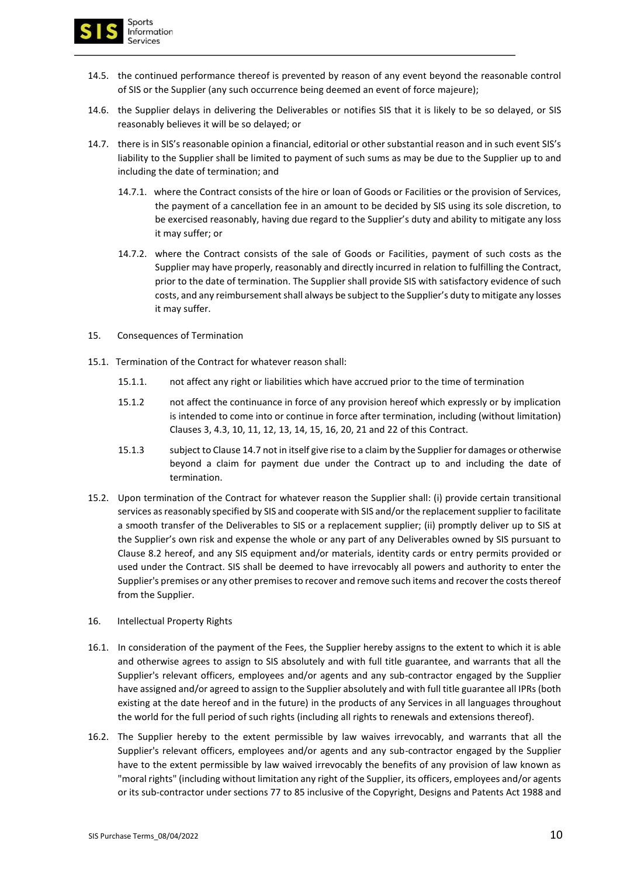

- 14.5. the continued performance thereof is prevented by reason of any event beyond the reasonable control of SIS or the Supplier (any such occurrence being deemed an event of force majeure);
- 14.6. the Supplier delays in delivering the Deliverables or notifies SIS that it is likely to be so delayed, or SIS reasonably believes it will be so delayed; or
- 14.7. there is in SIS's reasonable opinion a financial, editorial or other substantial reason and in such event SIS's liability to the Supplier shall be limited to payment of such sums as may be due to the Supplier up to and including the date of termination; and
	- 14.7.1. where the Contract consists of the hire or loan of Goods or Facilities or the provision of Services, the payment of a cancellation fee in an amount to be decided by SIS using its sole discretion, to be exercised reasonably, having due regard to the Supplier's duty and ability to mitigate any loss it may suffer; or
	- 14.7.2. where the Contract consists of the sale of Goods or Facilities, payment of such costs as the Supplier may have properly, reasonably and directly incurred in relation to fulfilling the Contract, prior to the date of termination. The Supplier shall provide SIS with satisfactory evidence of such costs, and any reimbursement shall always be subject to the Supplier's duty to mitigate any losses it may suffer.
- 15. Consequences of Termination
- 15.1. Termination of the Contract for whatever reason shall:
	- 15.1.1. not affect any right or liabilities which have accrued prior to the time of termination
	- 15.1.2 not affect the continuance in force of any provision hereof which expressly or by implication is intended to come into or continue in force after termination, including (without limitation) Clauses 3, 4.3, 10, 11, 12, 13, 14, 15, 16, 20, 21 and 22 of this Contract.
	- 15.1.3 subject to Clause 14.7 not in itself give rise to a claim by the Supplier for damages or otherwise beyond a claim for payment due under the Contract up to and including the date of termination.
- 15.2. Upon termination of the Contract for whatever reason the Supplier shall: (i) provide certain transitional services as reasonably specified by SIS and cooperate with SIS and/or the replacement supplier to facilitate a smooth transfer of the Deliverables to SIS or a replacement supplier; (ii) promptly deliver up to SIS at the Supplier's own risk and expense the whole or any part of any Deliverables owned by SIS pursuant to Clause 8.2 hereof, and any SIS equipment and/or materials, identity cards or entry permits provided or used under the Contract. SIS shall be deemed to have irrevocably all powers and authority to enter the Supplier's premises or any other premises to recover and remove such items and recover the costs thereof from the Supplier.
- 16. Intellectual Property Rights
- 16.1. In consideration of the payment of the Fees, the Supplier hereby assigns to the extent to which it is able and otherwise agrees to assign to SIS absolutely and with full title guarantee, and warrants that all the Supplier's relevant officers, employees and/or agents and any sub-contractor engaged by the Supplier have assigned and/or agreed to assign to the Supplier absolutely and with full title guarantee all IPRs (both existing at the date hereof and in the future) in the products of any Services in all languages throughout the world for the full period of such rights (including all rights to renewals and extensions thereof).
- 16.2. The Supplier hereby to the extent permissible by law waives irrevocably, and warrants that all the Supplier's relevant officers, employees and/or agents and any sub-contractor engaged by the Supplier have to the extent permissible by law waived irrevocably the benefits of any provision of law known as "moral rights" (including without limitation any right of the Supplier, its officers, employees and/or agents or its sub-contractor under sections 77 to 85 inclusive of the Copyright, Designs and Patents Act 1988 and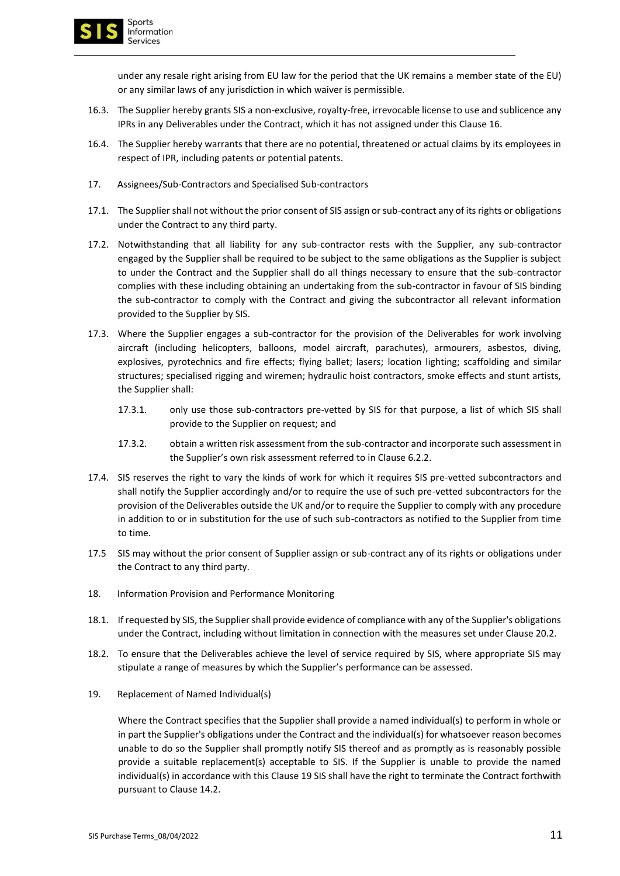

under any resale right arising from EU law for the period that the UK remains a member state of the EU) or any similar laws of any jurisdiction in which waiver is permissible.

- 16.3. The Supplier hereby grants SIS a non-exclusive, royalty-free, irrevocable license to use and sublicence any IPRs in any Deliverables under the Contract, which it has not assigned under this Clause 16.
- 16.4. The Supplier hereby warrants that there are no potential, threatened or actual claims by its employees in respect of IPR, including patents or potential patents.
- 17. Assignees/Sub-Contractors and Specialised Sub-contractors
- 17.1. The Supplier shall not without the prior consent of SIS assign or sub-contract any of its rights or obligations under the Contract to any third party.
- 17.2. Notwithstanding that all liability for any sub-contractor rests with the Supplier, any sub-contractor engaged by the Supplier shall be required to be subject to the same obligations as the Supplier is subject to under the Contract and the Supplier shall do all things necessary to ensure that the sub-contractor complies with these including obtaining an undertaking from the sub-contractor in favour of SIS binding the sub-contractor to comply with the Contract and giving the subcontractor all relevant information provided to the Supplier by SIS.
- 17.3. Where the Supplier engages a sub-contractor for the provision of the Deliverables for work involving aircraft (including helicopters, balloons, model aircraft, parachutes), armourers, asbestos, diving, explosives, pyrotechnics and fire effects; flying ballet; lasers; location lighting; scaffolding and similar structures; specialised rigging and wiremen; hydraulic hoist contractors, smoke effects and stunt artists, the Supplier shall:
	- 17.3.1. only use those sub-contractors pre-vetted by SIS for that purpose, a list of which SIS shall provide to the Supplier on request; and
	- 17.3.2. obtain a written risk assessment from the sub-contractor and incorporate such assessment in the Supplier's own risk assessment referred to in Clause 6.2.2.
- 17.4. SIS reserves the right to vary the kinds of work for which it requires SIS pre-vetted subcontractors and shall notify the Supplier accordingly and/or to require the use of such pre-vetted subcontractors for the provision of the Deliverables outside the UK and/or to require the Supplier to comply with any procedure in addition to or in substitution for the use of such sub-contractors as notified to the Supplier from time to time.
- 17.5 SIS may without the prior consent of Supplier assign or sub-contract any of its rights or obligations under the Contract to any third party.
- 18. Information Provision and Performance Monitoring
- 18.1. If requested by SIS, the Supplier shall provide evidence of compliance with any of the Supplier's obligations under the Contract, including without limitation in connection with the measures set under Clause 20.2.
- 18.2. To ensure that the Deliverables achieve the level of service required by SIS, where appropriate SIS may stipulate a range of measures by which the Supplier's performance can be assessed.
- 19. Replacement of Named Individual(s)

Where the Contract specifies that the Supplier shall provide a named individual(s) to perform in whole or in part the Supplier's obligations under the Contract and the individual(s) for whatsoever reason becomes unable to do so the Supplier shall promptly notify SIS thereof and as promptly as is reasonably possible provide a suitable replacement(s) acceptable to SIS. If the Supplier is unable to provide the named individual(s) in accordance with this Clause 19 SIS shall have the right to terminate the Contract forthwith pursuant to Clause 14.2.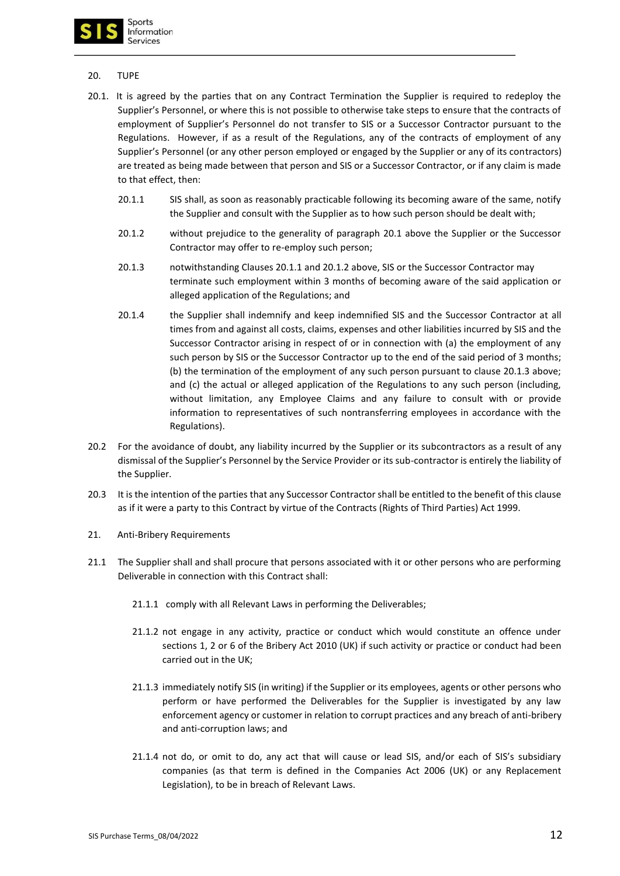

## 20. TUPE

- 20.1. It is agreed by the parties that on any Contract Termination the Supplier is required to redeploy the Supplier's Personnel, or where this is not possible to otherwise take steps to ensure that the contracts of employment of Supplier's Personnel do not transfer to SIS or a Successor Contractor pursuant to the Regulations. However, if as a result of the Regulations, any of the contracts of employment of any Supplier's Personnel (or any other person employed or engaged by the Supplier or any of its contractors) are treated as being made between that person and SIS or a Successor Contractor, or if any claim is made to that effect, then:
	- 20.1.1 SIS shall, as soon as reasonably practicable following its becoming aware of the same, notify the Supplier and consult with the Supplier as to how such person should be dealt with;
	- 20.1.2 without prejudice to the generality of paragraph 20.1 above the Supplier or the Successor Contractor may offer to re-employ such person;
	- 20.1.3 notwithstanding Clauses 20.1.1 and 20.1.2 above, SIS or the Successor Contractor may terminate such employment within 3 months of becoming aware of the said application or alleged application of the Regulations; and
	- 20.1.4 the Supplier shall indemnify and keep indemnified SIS and the Successor Contractor at all times from and against all costs, claims, expenses and other liabilities incurred by SIS and the Successor Contractor arising in respect of or in connection with (a) the employment of any such person by SIS or the Successor Contractor up to the end of the said period of 3 months; (b) the termination of the employment of any such person pursuant to clause 20.1.3 above; and (c) the actual or alleged application of the Regulations to any such person (including, without limitation, any Employee Claims and any failure to consult with or provide information to representatives of such nontransferring employees in accordance with the Regulations).
- 20.2 For the avoidance of doubt, any liability incurred by the Supplier or its subcontractors as a result of any dismissal of the Supplier's Personnel by the Service Provider or its sub-contractor is entirely the liability of the Supplier.
- 20.3 It is the intention of the parties that any Successor Contractor shall be entitled to the benefit of this clause as if it were a party to this Contract by virtue of the Contracts (Rights of Third Parties) Act 1999.
- 21. Anti-Bribery Requirements
- 21.1 The Supplier shall and shall procure that persons associated with it or other persons who are performing Deliverable in connection with this Contract shall:
	- 21.1.1 comply with all Relevant Laws in performing the Deliverables;
	- 21.1.2 not engage in any activity, practice or conduct which would constitute an offence under sections 1, 2 or 6 of the Bribery Act 2010 (UK) if such activity or practice or conduct had been carried out in the UK;
	- 21.1.3 immediately notify SIS (in writing) if the Supplier or its employees, agents or other persons who perform or have performed the Deliverables for the Supplier is investigated by any law enforcement agency or customer in relation to corrupt practices and any breach of anti-bribery and anti-corruption laws; and
	- 21.1.4 not do, or omit to do, any act that will cause or lead SIS, and/or each of SIS's subsidiary companies (as that term is defined in the Companies Act 2006 (UK) or any Replacement Legislation), to be in breach of Relevant Laws.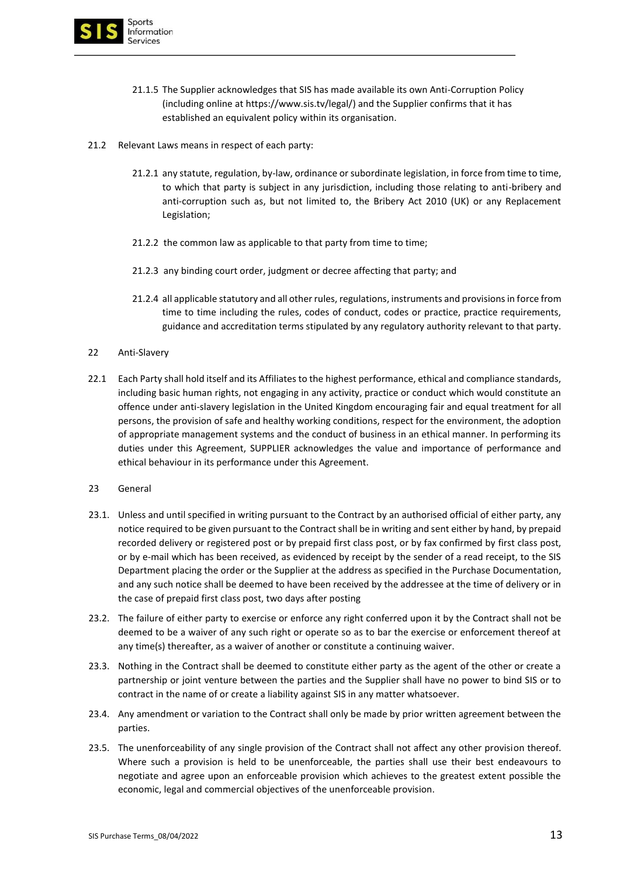

- 21.1.5 The Supplier acknowledges that SIS has made available its own Anti-Corruption Policy (including online at https://www.sis.tv/legal/) and the Supplier confirms that it has established an equivalent policy within its organisation.
- 21.2 Relevant Laws means in respect of each party:
	- 21.2.1 any statute, regulation, by-law, ordinance or subordinate legislation, in force from time to time, to which that party is subject in any jurisdiction, including those relating to anti-bribery and anti-corruption such as, but not limited to, the Bribery Act 2010 (UK) or any Replacement Legislation;
	- 21.2.2 the common law as applicable to that party from time to time;
	- 21.2.3 any binding court order, judgment or decree affecting that party; and
	- 21.2.4 all applicable statutory and all other rules, regulations, instruments and provisions in force from time to time including the rules, codes of conduct, codes or practice, practice requirements, guidance and accreditation terms stipulated by any regulatory authority relevant to that party.
- 22 Anti-Slavery
- 22.1 Each Party shall hold itself and its Affiliates to the highest performance, ethical and compliance standards, including basic human rights, not engaging in any activity, practice or conduct which would constitute an offence under anti-slavery legislation in the United Kingdom encouraging fair and equal treatment for all persons, the provision of safe and healthy working conditions, respect for the environment, the adoption of appropriate management systems and the conduct of business in an ethical manner. In performing its duties under this Agreement, SUPPLIER acknowledges the value and importance of performance and ethical behaviour in its performance under this Agreement.
- 23 General
- 23.1. Unless and until specified in writing pursuant to the Contract by an authorised official of either party, any notice required to be given pursuant to the Contract shall be in writing and sent either by hand, by prepaid recorded delivery or registered post or by prepaid first class post, or by fax confirmed by first class post, or by e-mail which has been received, as evidenced by receipt by the sender of a read receipt, to the SIS Department placing the order or the Supplier at the address as specified in the Purchase Documentation, and any such notice shall be deemed to have been received by the addressee at the time of delivery or in the case of prepaid first class post, two days after posting
- 23.2. The failure of either party to exercise or enforce any right conferred upon it by the Contract shall not be deemed to be a waiver of any such right or operate so as to bar the exercise or enforcement thereof at any time(s) thereafter, as a waiver of another or constitute a continuing waiver.
- 23.3. Nothing in the Contract shall be deemed to constitute either party as the agent of the other or create a partnership or joint venture between the parties and the Supplier shall have no power to bind SIS or to contract in the name of or create a liability against SIS in any matter whatsoever.
- 23.4. Any amendment or variation to the Contract shall only be made by prior written agreement between the parties.
- 23.5. The unenforceability of any single provision of the Contract shall not affect any other provision thereof. Where such a provision is held to be unenforceable, the parties shall use their best endeavours to negotiate and agree upon an enforceable provision which achieves to the greatest extent possible the economic, legal and commercial objectives of the unenforceable provision.